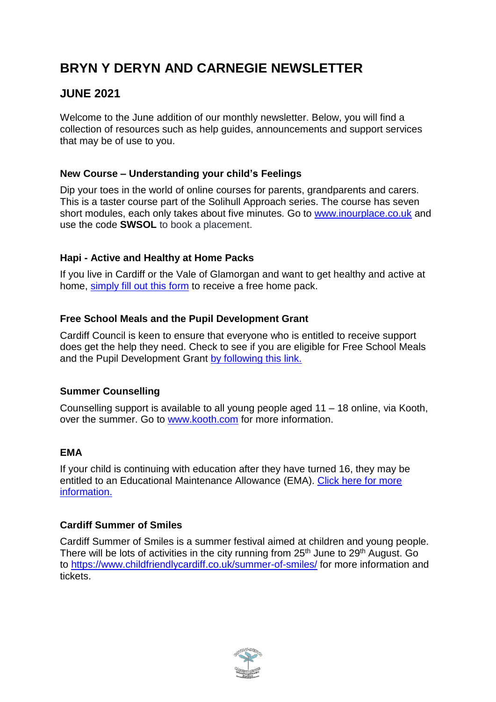# **BRYN Y DERYN AND CARNEGIE NEWSLETTER**

# **JUNE 2021**

Welcome to the June addition of our monthly newsletter. Below, you will find a collection of resources such as help guides, announcements and support services that may be of use to you.

#### **New Course – Understanding your child's Feelings**

Dip your toes in the world of online courses for parents, grandparents and carers. This is a taster course part of the Solihull Approach series. The course has seven short modules, each only takes about five minutes. Go to [www.inourplace.co.uk](http://www.inourplace.co.uk/) and use the code **SWSOL** to book a placement.

### **Hapi - Active and Healthy at Home Packs**

If you live in Cardiff or the Vale of Glamorgan and want to get healthy and active at home, [simply](https://forms.office.com/pages/responsepage.aspx?id=SHvTgnr5qEClKiD6MdknKnItOPFO-0JNso26Z3colIZURUNMVDVDRUE1NlQ3WjNOQ082REdPM0FBWS4u&wdLOR=c5D951627-8D64-4B79-9435-9EE51F593249) fill out this form to receive a free home pack.

### **Free School Meals and the Pupil Development Grant**

Cardiff Council is keen to ensure that everyone who is entitled to receive support does get the help they need. Check to see if you are eligible for Free School Meals and the Pupil Development Grant by [following](https://www.cardiff.gov.uk/ENG/resident/Schools-and-learning/Financial-support/Pages/default.aspx) this link.

### **Summer Counselling**

Counselling support is available to all young people aged 11 – 18 online, via Kooth, over the summer. Go to [www.kooth.com](http://www.kooth.com/) for more information.

### **EMA**

If your child is continuing with education after they have turned 16, they may be entitled to an Educational Maintenance Allowance (EMA). Click here for [more](https://www.brynyderynpru.co.uk/post/ema-guidance-2021-22-school-year) [information.](https://www.brynyderynpru.co.uk/post/ema-guidance-2021-22-school-year)

### **Cardiff Summer of Smiles**

Cardiff Summer of Smiles is a summer festival aimed at children and young people. There will be lots of activities in the city running from  $25<sup>th</sup>$  June to  $29<sup>th</sup>$  August. Go to <https://www.childfriendlycardiff.co.uk/summer-of-smiles/> for more information and tickets.